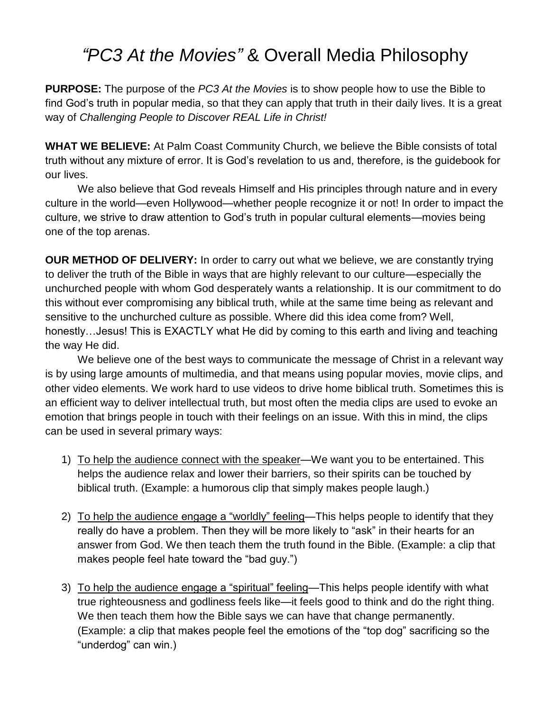## *"PC3 At the Movies"* & Overall Media Philosophy

**PURPOSE:** The purpose of the *PC3 At the Movies* is to show people how to use the Bible to find God's truth in popular media, so that they can apply that truth in their daily lives. It is a great way of *Challenging People to Discover REAL Life in Christ!*

**WHAT WE BELIEVE:** At Palm Coast Community Church, we believe the Bible consists of total truth without any mixture of error. It is God's revelation to us and, therefore, is the guidebook for our lives.

We also believe that God reveals Himself and His principles through nature and in every culture in the world—even Hollywood—whether people recognize it or not! In order to impact the culture, we strive to draw attention to God's truth in popular cultural elements—movies being one of the top arenas.

**OUR METHOD OF DELIVERY:** In order to carry out what we believe, we are constantly trying to deliver the truth of the Bible in ways that are highly relevant to our culture—especially the unchurched people with whom God desperately wants a relationship. It is our commitment to do this without ever compromising any biblical truth, while at the same time being as relevant and sensitive to the unchurched culture as possible. Where did this idea come from? Well, honestly…Jesus! This is EXACTLY what He did by coming to this earth and living and teaching the way He did.

We believe one of the best ways to communicate the message of Christ in a relevant way is by using large amounts of multimedia, and that means using popular movies, movie clips, and other video elements. We work hard to use videos to drive home biblical truth. Sometimes this is an efficient way to deliver intellectual truth, but most often the media clips are used to evoke an emotion that brings people in touch with their feelings on an issue. With this in mind, the clips can be used in several primary ways:

- 1) To help the audience connect with the speaker—We want you to be entertained. This helps the audience relax and lower their barriers, so their spirits can be touched by biblical truth. (Example: a humorous clip that simply makes people laugh.)
- 2) To help the audience engage a "worldly" feeling—This helps people to identify that they really do have a problem. Then they will be more likely to "ask" in their hearts for an answer from God. We then teach them the truth found in the Bible. (Example: a clip that makes people feel hate toward the "bad guy.")
- 3) To help the audience engage a "spiritual" feeling—This helps people identify with what true righteousness and godliness feels like—it feels good to think and do the right thing. We then teach them how the Bible says we can have that change permanently. (Example: a clip that makes people feel the emotions of the "top dog" sacrificing so the "underdog" can win.)